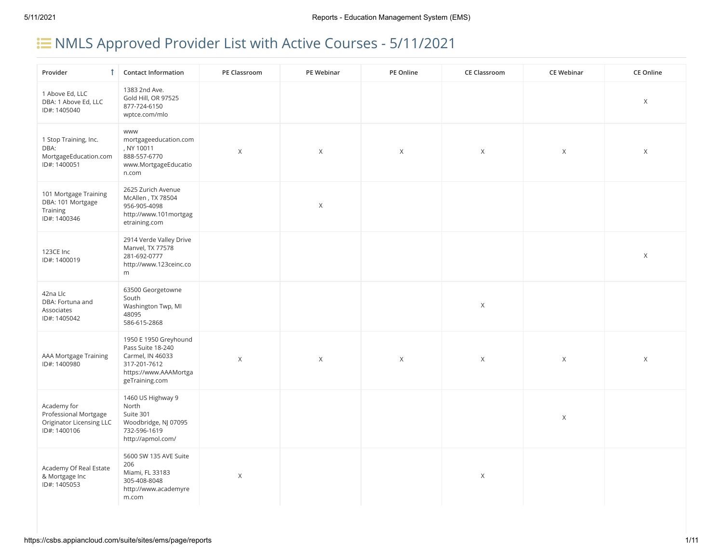# **E** NMLS Approved Provider List with Active Courses - 5/11/2021

| Provider                                                                                | <b>1</b> Contact Information                                                                                              | PE Classroom | PE Webinar  | PE Online   | <b>CE Classroom</b> | <b>CE Webinar</b> | <b>CE Online</b> |
|-----------------------------------------------------------------------------------------|---------------------------------------------------------------------------------------------------------------------------|--------------|-------------|-------------|---------------------|-------------------|------------------|
| 1 Above Ed, LLC<br>DBA: 1 Above Ed, LLC<br>ID#: 1405040                                 | 1383 2nd Ave.<br>Gold Hill, OR 97525<br>877-724-6150<br>wptce.com/mlo                                                     |              |             |             |                     |                   | X                |
| 1 Stop Training, Inc.<br>DBA:<br>MortgageEducation.com<br>ID#: 1400051                  | <b>WWW</b><br>mortgageeducation.com<br>, NY 10011<br>888-557-6770<br>www.MortgageEducatio<br>n.com                        | $\mathsf X$  | $\mathsf X$ | $\times$    | $\mathsf X$         | $\mathsf X$       | $\mathsf X$      |
| 101 Mortgage Training<br>DBA: 101 Mortgage<br>Training<br>ID#: 1400346                  | 2625 Zurich Avenue<br>McAllen, TX 78504<br>956-905-4098<br>http://www.101mortgag<br>etraining.com                         |              | $\mathsf X$ |             |                     |                   |                  |
| 123CE Inc<br>ID#: 1400019                                                               | 2914 Verde Valley Drive<br>Manvel, TX 77578<br>281-692-0777<br>http://www.123ceinc.co<br>m                                |              |             |             |                     |                   | Χ                |
| 42na Llc<br>DBA: Fortuna and<br>Associates<br>ID#: 1405042                              | 63500 Georgetowne<br>South<br>Washington Twp, MI<br>48095<br>586-615-2868                                                 |              |             |             | $\mathsf X$         |                   |                  |
| AAA Mortgage Training<br>ID#: 1400980                                                   | 1950 E 1950 Greyhound<br>Pass Suite 18-240<br>Carmel, IN 46033<br>317-201-7612<br>https://www.AAAMortga<br>geTraining.com | $\mathsf X$  | $\mathsf X$ | $\mathsf X$ | $\mathsf X$         | $\mathsf X$       | Χ                |
| Academy for<br>Professional Mortgage<br><b>Originator Licensing LLC</b><br>ID#: 1400106 | 1460 US Highway 9<br>North<br>Suite 301<br>Woodbridge, NJ 07095<br>732-596-1619<br>http://apmol.com/                      |              |             |             |                     | $\mathsf X$       |                  |
| Academy Of Real Estate<br>& Mortgage Inc<br>ID#: 1405053                                | 5600 SW 135 AVE Suite<br>206<br>Miami, FL 33183<br>305-408-8048<br>http://www.academyre<br>m.com                          | $\mathsf X$  |             |             | $\mathsf X$         |                   |                  |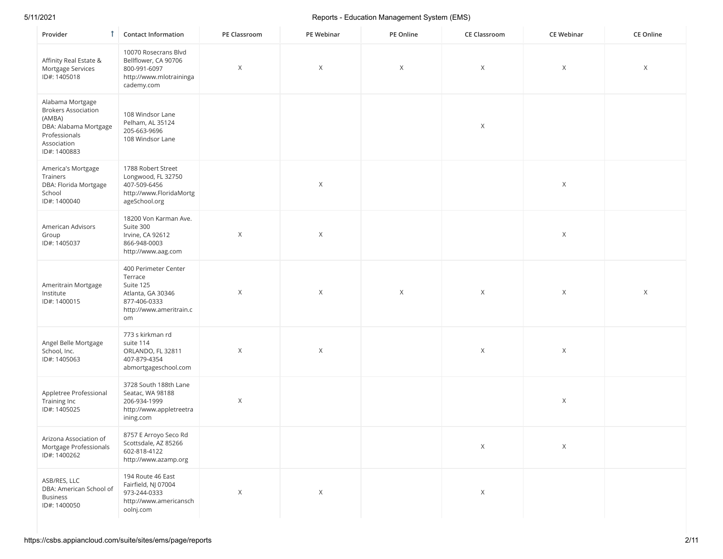| Provider                                                                                                                          | <b>Contact Information</b>                                                                                         | PE Classroom | PE Webinar | PE Online | <b>CE Classroom</b> | <b>CE Webinar</b> | CE Online |
|-----------------------------------------------------------------------------------------------------------------------------------|--------------------------------------------------------------------------------------------------------------------|--------------|------------|-----------|---------------------|-------------------|-----------|
| Affinity Real Estate &<br>Mortgage Services<br>ID#: 1405018                                                                       | 10070 Rosecrans Blvd<br>Bellflower, CA 90706<br>800-991-6097<br>http://www.mlotraininga<br>cademy.com              | X            | $\times$   | Χ         | Χ                   | Χ                 | Χ         |
| Alabama Mortgage<br><b>Brokers Association</b><br>(AMBA)<br>DBA: Alabama Mortgage<br>Professionals<br>Association<br>ID#: 1400883 | 108 Windsor Lane<br>Pelham, AL 35124<br>205-663-9696<br>108 Windsor Lane                                           |              |            |           | $\mathsf X$         |                   |           |
| America's Mortgage<br>Trainers<br>DBA: Florida Mortgage<br>School<br>ID#: 1400040                                                 | 1788 Robert Street<br>Longwood, FL 32750<br>407-509-6456<br>http://www.FloridaMortg<br>ageSchool.org               |              | X          |           |                     | X                 |           |
| American Advisors<br>Group<br>ID#: 1405037                                                                                        | 18200 Von Karman Ave.<br>Suite 300<br>Irvine, CA 92612<br>866-948-0003<br>http://www.aag.com                       | $\mathsf X$  | $\times$   |           |                     | X                 |           |
| Ameritrain Mortgage<br>Institute<br>ID#: 1400015                                                                                  | 400 Perimeter Center<br>Terrace<br>Suite 125<br>Atlanta, GA 30346<br>877-406-0333<br>http://www.ameritrain.c<br>om | X            | $\times$   | Χ         | X                   | Χ                 | X         |
| Angel Belle Mortgage<br>School, Inc.<br>ID#: 1405063                                                                              | 773 s kirkman rd<br>suite 114<br>ORLANDO, FL 32811<br>407-879-4354<br>abmortgageschool.com                         | $\mathsf X$  | $\times$   |           | $\mathsf X$         | Χ                 |           |
| Appletree Professional<br>Training Inc<br>ID#: 1405025                                                                            | 3728 South 188th Lane<br>Seatac, WA 98188<br>206-934-1999<br>http://www.appletreetra<br>ining.com                  | $\mathsf X$  |            |           |                     | Χ                 |           |
| Arizona Association of<br>Mortgage Professionals<br>ID#: 1400262                                                                  | 8757 E Arroyo Seco Rd<br>Scottsdale, AZ 85266<br>602-818-4122<br>http://www.azamp.org                              |              |            |           | $\mathsf X$         | Χ                 |           |
| ASB/RES, LLC<br>DBA: American School of<br><b>Business</b><br>ID#: 1400050                                                        | 194 Route 46 East<br>Fairfield, NJ 07004<br>973-244-0333<br>http://www.americansch<br>oolnj.com                    | $\mathsf X$  | X          |           | $\mathsf X$         |                   |           |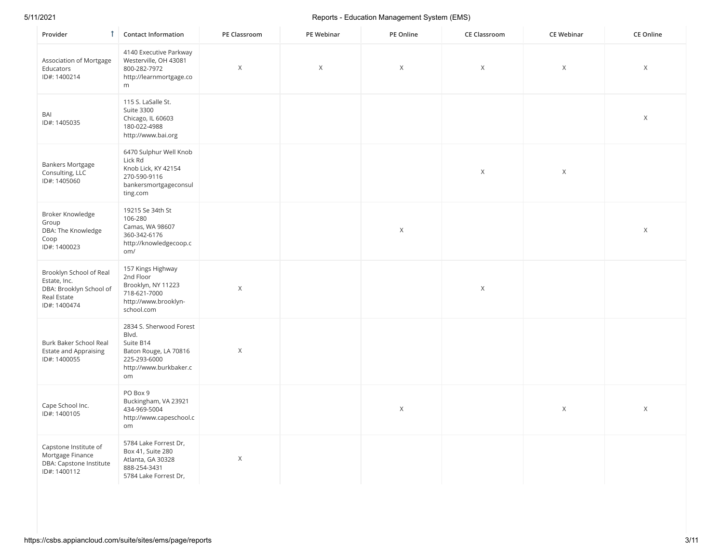| Provider<br>$\uparrow$                                                                            | <b>Contact Information</b>                                                                                             | PE Classroom | PE Webinar | PE Online    | <b>CE Classroom</b> | <b>CE Webinar</b> | <b>CE Online</b> |
|---------------------------------------------------------------------------------------------------|------------------------------------------------------------------------------------------------------------------------|--------------|------------|--------------|---------------------|-------------------|------------------|
| Association of Mortgage<br>Educators<br>ID#: 1400214                                              | 4140 Executive Parkway<br>Westerville, OH 43081<br>800-282-7972<br>http://learnmortgage.co<br>m                        | $\mathsf X$  | X          | X            | $\mathsf X$         | $\mathsf X$       | X                |
| BAI<br>ID#: 1405035                                                                               | 115 S. LaSalle St.<br>Suite 3300<br>Chicago, IL 60603<br>180-022-4988<br>http://www.bai.org                            |              |            |              |                     |                   | $\mathsf X$      |
| <b>Bankers Mortgage</b><br>Consulting, LLC<br>ID#: 1405060                                        | 6470 Sulphur Well Knob<br>Lick Rd<br>Knob Lick, KY 42154<br>270-590-9116<br>bankersmortgageconsul<br>ting.com          |              |            |              | $\mathsf X$         | $\mathsf X$       |                  |
| Broker Knowledge<br>Group<br>DBA: The Knowledge<br>Coop<br>ID#: 1400023                           | 19215 Se 34th St<br>106-280<br>Camas, WA 98607<br>360-342-6176<br>http://knowledgecoop.c<br>om/                        |              |            | $\mathsf X$  |                     |                   | $\mathsf{X}$     |
| Brooklyn School of Real<br>Estate, Inc.<br>DBA: Brooklyn School of<br>Real Estate<br>ID#: 1400474 | 157 Kings Highway<br>2nd Floor<br>Brooklyn, NY 11223<br>718-621-7000<br>http://www.brooklyn-<br>school.com             | $\mathsf X$  |            |              | $\mathsf X$         |                   |                  |
| Burk Baker School Real<br><b>Estate and Appraising</b><br>ID#: 1400055                            | 2834 S. Sherwood Forest<br>Blvd.<br>Suite B14<br>Baton Rouge, LA 70816<br>225-293-6000<br>http://www.burkbaker.c<br>om | X            |            |              |                     |                   |                  |
| Cape School Inc.<br>ID#: 1400105                                                                  | PO Box 9<br>Buckingham, VA 23921<br>434-969-5004<br>http://www.capeschool.c<br>om                                      |              |            | $\mathsf{X}$ |                     | $\mathsf X$       | $\mathsf{X}$     |
| Capstone Institute of<br>Mortgage Finance<br>DBA: Capstone Institute<br>ID#: 1400112              | 5784 Lake Forrest Dr,<br>Box 41, Suite 280<br>Atlanta, GA 30328<br>888-254-3431<br>5784 Lake Forrest Dr,               | X            |            |              |                     |                   |                  |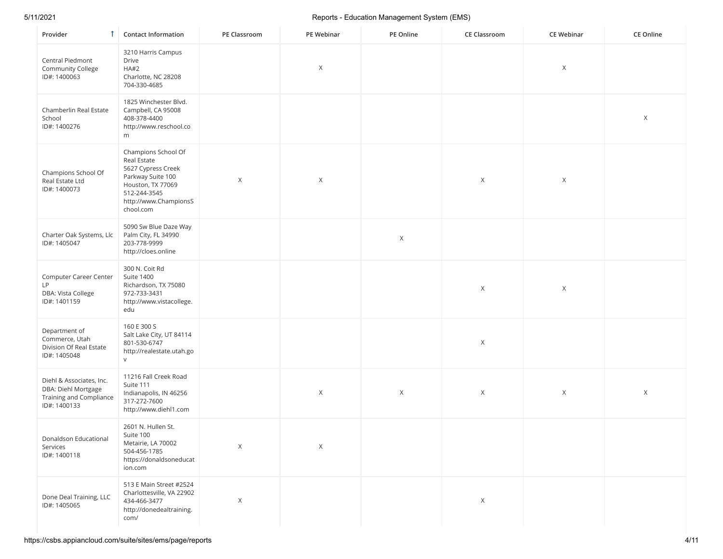| Provider                                                                                   | <b>Contact Information</b>                                                                                                                               | PE Classroom | PE Webinar | PE Online | <b>CE Classroom</b> | <b>CE Webinar</b> | CE Online |
|--------------------------------------------------------------------------------------------|----------------------------------------------------------------------------------------------------------------------------------------------------------|--------------|------------|-----------|---------------------|-------------------|-----------|
| Central Piedmont<br><b>Community College</b><br>ID#: 1400063                               | 3210 Harris Campus<br>Drive<br>HA#2<br>Charlotte, NC 28208<br>704-330-4685                                                                               |              | X          |           |                     | Χ                 |           |
| Chamberlin Real Estate<br>School<br>ID#: 1400276                                           | 1825 Winchester Blvd.<br>Campbell, CA 95008<br>408-378-4400<br>http://www.reschool.co<br>m                                                               |              |            |           |                     |                   | X         |
| Champions School Of<br>Real Estate Ltd<br>ID#: 1400073                                     | Champions School Of<br>Real Estate<br>5627 Cypress Creek<br>Parkway Suite 100<br>Houston, TX 77069<br>512-244-3545<br>http://www.ChampionsS<br>chool.com | X            | X          |           | $\times$            | Χ                 |           |
| Charter Oak Systems, Llc<br>ID#: 1405047                                                   | 5090 Sw Blue Daze Way<br>Palm City, FL 34990<br>203-778-9999<br>http://cloes.online                                                                      |              |            | X         |                     |                   |           |
| Computer Career Center<br>LP<br>DBA: Vista College<br>ID#: 1401159                         | 300 N. Coit Rd<br>Suite 1400<br>Richardson, TX 75080<br>972-733-3431<br>http://www.vistacollege.<br>edu                                                  |              |            |           | $\times$            | Χ                 |           |
| Department of<br>Commerce, Utah<br>Division Of Real Estate<br>ID#: 1405048                 | 160 E 300 S<br>Salt Lake City, UT 84114<br>801-530-6747<br>http://realestate.utah.go<br>$\vee$                                                           |              |            |           | $\mathsf X$         |                   |           |
| Diehl & Associates, Inc.<br>DBA: Diehl Mortgage<br>Training and Compliance<br>ID#: 1400133 | 11216 Fall Creek Road<br>Suite 111<br>Indianapolis, IN 46256<br>317-272-7600<br>http://www.diehl1.com                                                    |              | Χ          | X         | $\times$            | X                 | X         |
| Donaldson Educational<br>Services<br>ID#: 1400118                                          | 2601 N. Hullen St.<br>Suite 100<br>Metairie, LA 70002<br>504-456-1785<br>https://donaldsoneducat<br>ion.com                                              | X            | Χ          |           |                     |                   |           |
| Done Deal Training, LLC<br>ID#: 1405065                                                    | 513 E Main Street #2524<br>Charlottesville, VA 22902<br>434-466-3477<br>http://donedealtraining.<br>com/                                                 | X            |            |           | X                   |                   |           |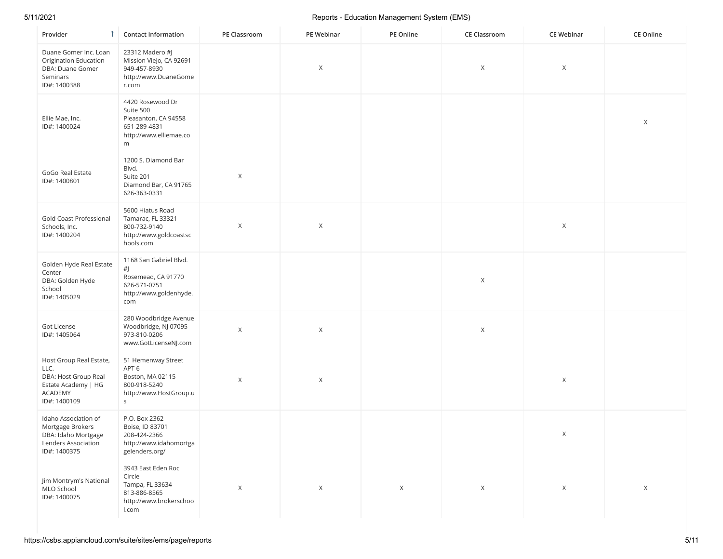| Provider<br>Т                                                                                                    | <b>Contact Information</b>                                                                                | PE Classroom | PE Webinar  | PE Online | <b>CE Classroom</b> | <b>CE Webinar</b> | CE Online |
|------------------------------------------------------------------------------------------------------------------|-----------------------------------------------------------------------------------------------------------|--------------|-------------|-----------|---------------------|-------------------|-----------|
| Duane Gomer Inc. Loan<br>Origination Education<br>DBA: Duane Gomer<br>Seminars<br>ID#: 1400388                   | 23312 Madero #J<br>Mission Viejo, CA 92691<br>949-457-8930<br>http://www.DuaneGome<br>r.com               |              | Χ           |           | Χ                   | $\times$          |           |
| Ellie Mae, Inc.<br>ID#: 1400024                                                                                  | 4420 Rosewood Dr<br>Suite 500<br>Pleasanton, CA 94558<br>651-289-4831<br>http://www.elliemae.co<br>m      |              |             |           |                     |                   | X         |
| GoGo Real Estate<br>ID#: 1400801                                                                                 | 1200 S. Diamond Bar<br>Blvd.<br>Suite 201<br>Diamond Bar, CA 91765<br>626-363-0331                        | Χ            |             |           |                     |                   |           |
| Gold Coast Professional<br>Schools, Inc.<br>ID#: 1400204                                                         | 5600 Hiatus Road<br>Tamarac, FL 33321<br>800-732-9140<br>http://www.goldcoastsc<br>hools.com              | X            | X           |           |                     | $\times$          |           |
| Golden Hyde Real Estate<br>Center<br>DBA: Golden Hyde<br>School<br>ID#: 1405029                                  | 1168 San Gabriel Blvd.<br>#J<br>Rosemead, CA 91770<br>626-571-0751<br>http://www.goldenhyde.<br>com       |              |             |           | X                   |                   |           |
| Got License<br>ID#: 1405064                                                                                      | 280 Woodbridge Avenue<br>Woodbridge, NJ 07095<br>973-810-0206<br>www.GotLicenseNJ.com                     | X            | X           |           | Χ                   |                   |           |
| Host Group Real Estate,<br>LLC.<br>DBA: Host Group Real<br>Estate Academy   HG<br><b>ACADEMY</b><br>ID#: 1400109 | 51 Hemenway Street<br>APT <sub>6</sub><br>Boston, MA 02115<br>800-918-5240<br>http://www.HostGroup.u<br>S | X            | X           |           |                     | $\times$          |           |
| Idaho Association of<br>Mortgage Brokers<br>DBA: Idaho Mortgage<br>Lenders Association<br>ID#: 1400375           | P.O. Box 2362<br>Boise, ID 83701<br>208-424-2366<br>http://www.idahomortga<br>gelenders.org/              |              |             |           |                     | X                 |           |
| Jim Montrym's National<br>MLO School<br>ID#: 1400075                                                             | 3943 East Eden Roc<br>Circle<br>Tampa, FL 33634<br>813-886-8565<br>http://www.brokerschoo<br>l.com        | $\mathsf X$  | $\mathsf X$ | X         | X                   | X                 | X         |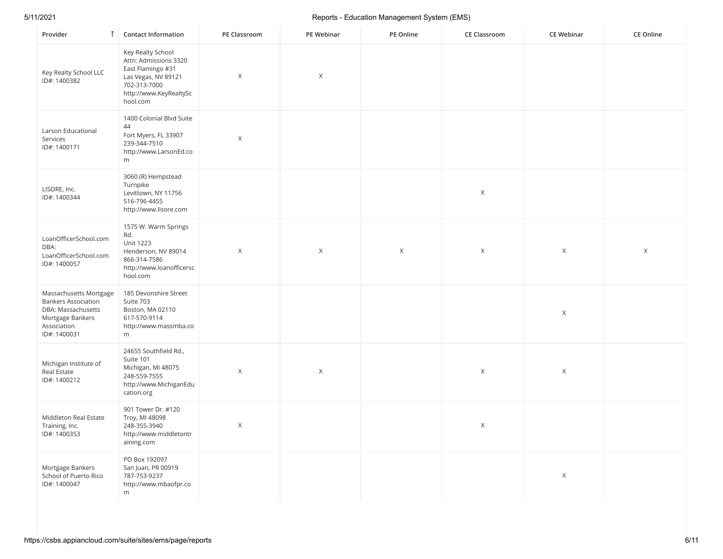| Provider<br>Τ.                                                                                                                | <b>Contact Information</b>                                                                                                                   | PE Classroom | PE Webinar  | PE Online   | <b>CE Classroom</b> | <b>CE Webinar</b> | <b>CE Online</b> |
|-------------------------------------------------------------------------------------------------------------------------------|----------------------------------------------------------------------------------------------------------------------------------------------|--------------|-------------|-------------|---------------------|-------------------|------------------|
| Key Realty School LLC<br>ID#: 1400382                                                                                         | Key Realty School<br>Attn: Admissions 3320<br>East Flamingo #31<br>Las Vegas, NV 89121<br>702-313-7000<br>http://www.KeyRealtySc<br>hool.com | $\mathsf X$  | Χ           |             |                     |                   |                  |
| Larson Educational<br>Services<br>ID#: 1400171                                                                                | 1400 Colonial Blvd Suite<br>44<br>Fort Myers, FL 33907<br>239-344-7510<br>http://www.LarsonEd.co<br>m                                        | $\mathsf X$  |             |             |                     |                   |                  |
| LISORE, Inc.<br>ID#: 1400344                                                                                                  | 3060 (R) Hempstead<br>Turnpike<br>Levittown, NY 11756<br>516-796-4455<br>http://www.lisore.com                                               |              |             |             | $\mathsf X$         |                   |                  |
| LoanOfficerSchool.com<br>DBA:<br>LoanOfficerSchool.com<br>ID#: 1400057                                                        | 1575 W. Warm Springs<br>Rd.<br><b>Unit 1223</b><br>Henderson, NV 89014<br>866-314-7586<br>http://www.loanofficersc<br>hool.com               | $\mathsf X$  | $\mathsf X$ | $\mathsf X$ | $\mathsf X$         | $\mathsf X$       | X                |
| Massachusetts Mortgage<br><b>Bankers Association</b><br>DBA: Massachusetts<br>Mortgage Bankers<br>Association<br>ID#: 1400031 | 185 Devonshire Street<br>Suite 703<br>Boston, MA 02110<br>617-570-9114<br>http://www.massmba.co<br>m                                         |              |             |             |                     | $\mathsf X$       |                  |
| Michigan Institute of<br>Real Estate<br>ID#: 1400212                                                                          | 24655 Southfield Rd.,<br>Suite 101<br>Michigan, MI 48075<br>248-559-7555<br>http://www.MichiganEdu<br>cation.org                             | $\mathsf X$  | $\mathsf X$ |             | $\mathsf X$         | $\mathsf X$       |                  |
| Middleton Real Estate<br>Training, Inc.<br>ID#: 1400353                                                                       | 901 Tower Dr. #120<br>Troy, MI 48098<br>248-355-3940<br>http://www.middletontr<br>aining.com                                                 | $\mathsf X$  |             |             | $\mathsf X$         |                   |                  |
| Mortgage Bankers<br>School of Puerto Rico<br>ID#: 1400047                                                                     | PO Box 192097<br>San Juan, PR 00919<br>787-753-9237<br>http://www.mbaofpr.co<br>m                                                            |              |             |             |                     | $\mathsf X$       |                  |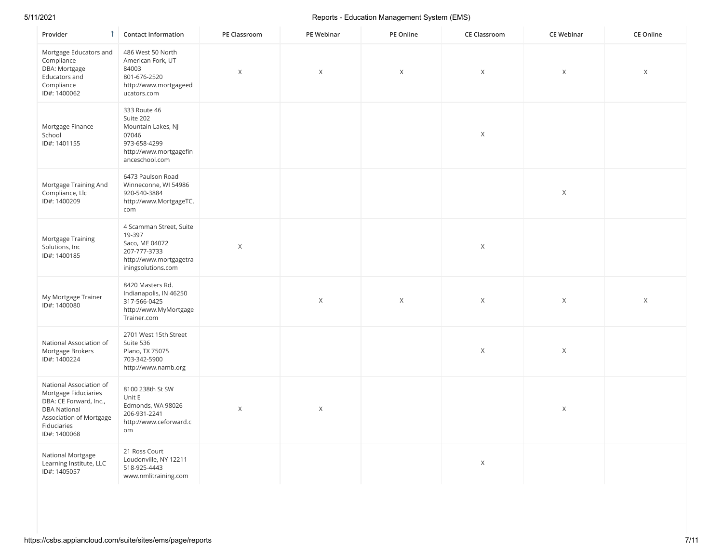| $\mathbf{f}$<br>Provider                                                                                                                                   | <b>Contact Information</b>                                                                                           | PE Classroom | PE Webinar  | PE Online | <b>CE Classroom</b> | <b>CE Webinar</b> | <b>CE Online</b> |
|------------------------------------------------------------------------------------------------------------------------------------------------------------|----------------------------------------------------------------------------------------------------------------------|--------------|-------------|-----------|---------------------|-------------------|------------------|
| Mortgage Educators and<br>Compliance<br>DBA: Mortgage<br>Educators and<br>Compliance<br>ID#: 1400062                                                       | 486 West 50 North<br>American Fork, UT<br>84003<br>801-676-2520<br>http://www.mortgageed<br>ucators.com              | $\times$     | X           | $\times$  | X                   | X                 | X                |
| Mortgage Finance<br>School<br>ID#: 1401155                                                                                                                 | 333 Route 46<br>Suite 202<br>Mountain Lakes, NJ<br>07046<br>973-658-4299<br>http://www.mortgagefin<br>anceschool.com |              |             |           | $\mathsf X$         |                   |                  |
| Mortgage Training And<br>Compliance, Llc<br>ID#: 1400209                                                                                                   | 6473 Paulson Road<br>Winneconne, WI 54986<br>920-540-3884<br>http://www.MortgageTC.<br>com                           |              |             |           |                     | $\mathsf X$       |                  |
| Mortgage Training<br>Solutions, Inc<br>ID#: 1400185                                                                                                        | 4 Scamman Street, Suite<br>19-397<br>Saco, ME 04072<br>207-777-3733<br>http://www.mortgagetra<br>iningsolutions.com  | $\chi$       |             |           | $\mathsf X$         |                   |                  |
| My Mortgage Trainer<br>ID#: 1400080                                                                                                                        | 8420 Masters Rd.<br>Indianapolis, IN 46250<br>317-566-0425<br>http://www.MyMortgage<br>Trainer.com                   |              | $\mathsf X$ | Χ         | $\mathsf X$         | $\mathsf X$       | $\mathsf{X}$     |
| National Association of<br>Mortgage Brokers<br>ID#: 1400224                                                                                                | 2701 West 15th Street<br>Suite 536<br>Plano, TX 75075<br>703-342-5900<br>http://www.namb.org                         |              |             |           | $\mathsf{X}$        | $\mathsf X$       |                  |
| National Association of<br>Mortgage Fiduciaries<br>DBA: CE Forward, Inc.,<br><b>DBA National</b><br>Association of Mortgage<br>Fiduciaries<br>ID#: 1400068 | 8100 238th St SW<br>Unit E<br>Edmonds, WA 98026<br>206-931-2241<br>http://www.ceforward.c<br>om                      | $\chi$       | $\mathsf X$ |           |                     | $\mathsf X$       |                  |
| National Mortgage<br>Learning Institute, LLC<br>ID#: 1405057                                                                                               | 21 Ross Court<br>Loudonville, NY 12211<br>518-925-4443<br>www.nmlitraining.com                                       |              |             |           | $\mathsf X$         |                   |                  |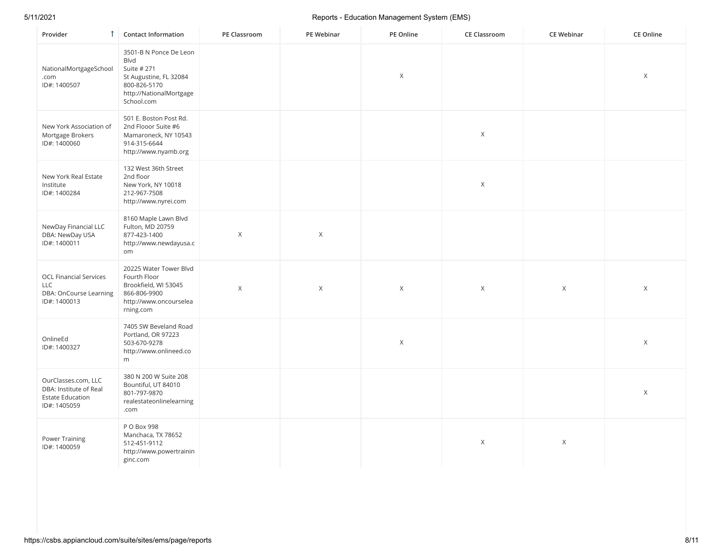| Provider<br>T.                                                                           | <b>Contact Information</b>                                                                                                              | PE Classroom | PE Webinar  | PE Online | <b>CE Classroom</b> | <b>CE Webinar</b> | <b>CE Online</b> |
|------------------------------------------------------------------------------------------|-----------------------------------------------------------------------------------------------------------------------------------------|--------------|-------------|-----------|---------------------|-------------------|------------------|
| NationalMortgageSchool<br>.com<br>ID#: 1400507                                           | 3501-B N Ponce De Leon<br><b>Blvd</b><br>Suite # 271<br>St Augustine, FL 32084<br>800-826-5170<br>http://NationalMortgage<br>School.com |              |             | X         |                     |                   | X                |
| New York Association of<br>Mortgage Brokers<br>ID#: 1400060                              | 501 E. Boston Post Rd.<br>2nd Flooor Suite #6<br>Mamaroneck, NY 10543<br>914-315-6644<br>http://www.nyamb.org                           |              |             |           | $\mathsf X$         |                   |                  |
| New York Real Estate<br>Institute<br>ID#: 1400284                                        | 132 West 36th Street<br>2nd floor<br>New York, NY 10018<br>212-967-7508<br>http://www.nyrei.com                                         |              |             |           | $\mathsf X$         |                   |                  |
| NewDay Financial LLC<br>DBA: NewDay USA<br>ID#: 1400011                                  | 8160 Maple Lawn Blvd<br>Fulton, MD 20759<br>877-423-1400<br>http://www.newdayusa.c<br>om                                                | $\mathsf X$  | $\mathsf X$ |           |                     |                   |                  |
| <b>OCL Financial Services</b><br>LLC<br>DBA: OnCourse Learning<br>ID#: 1400013           | 20225 Water Tower Blvd<br>Fourth Floor<br>Brookfield, WI 53045<br>866-806-9900<br>http://www.oncourselea<br>rning.com                   | $\mathsf X$  | Χ           | X         | $\mathsf X$         | X                 | X                |
| OnlineEd<br>ID#: 1400327                                                                 | 7405 SW Beveland Road<br>Portland, OR 97223<br>503-670-9278<br>http://www.onlineed.co<br>m                                              |              |             | X         |                     |                   | $\times$         |
| OurClasses.com, LLC<br>DBA: Institute of Real<br><b>Estate Education</b><br>ID#: 1405059 | 380 N 200 W Suite 208<br>Bountiful, UT 84010<br>801-797-9870<br>realestateonlinelearning<br>.com                                        |              |             |           |                     |                   | $\times$         |
| Power Training<br>ID#: 1400059                                                           | P O Box 998<br>Manchaca, TX 78652<br>512-451-9112<br>http://www.powertrainin<br>ginc.com                                                |              |             |           | $\chi$              | $\mathsf X$       |                  |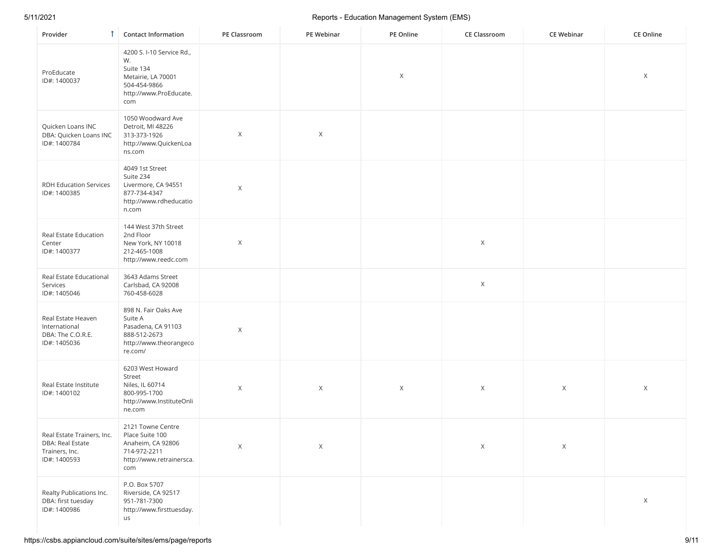| Provider                                                                         | <b>Contact Information</b>                                                                                          | PE Classroom | PE Webinar | PE Online | CE Classroom | <b>CE Webinar</b> | CE Online   |
|----------------------------------------------------------------------------------|---------------------------------------------------------------------------------------------------------------------|--------------|------------|-----------|--------------|-------------------|-------------|
| ProEducate<br>ID#: 1400037                                                       | 4200 S. I-10 Service Rd.,<br>W.<br>Suite 134<br>Metairie, LA 70001<br>504-454-9866<br>http://www.ProEducate.<br>com |              |            | Χ         |              |                   | X           |
| Quicken Loans INC<br>DBA: Quicken Loans INC<br>ID#: 1400784                      | 1050 Woodward Ave<br>Detroit, MI 48226<br>313-373-1926<br>http://www.QuickenLoa<br>ns.com                           | X            | Χ          |           |              |                   |             |
| <b>RDH Education Services</b><br>ID#: 1400385                                    | 4049 1st Street<br>Suite 234<br>Livermore, CA 94551<br>877-734-4347<br>http://www.rdheducatio<br>n.com              | X            |            |           |              |                   |             |
| Real Estate Education<br>Center<br>ID#: 1400377                                  | 144 West 37th Street<br>2nd Floor<br>New York, NY 10018<br>212-465-1008<br>http://www.reedc.com                     | X            |            |           | $\times$     |                   |             |
| Real Estate Educational<br>Services<br>ID#: 1405046                              | 3643 Adams Street<br>Carlsbad, CA 92008<br>760-458-6028                                                             |              |            |           | $\mathsf X$  |                   |             |
| Real Estate Heaven<br>International<br>DBA: The C.O.R.E.<br>ID#: 1405036         | 898 N. Fair Oaks Ave<br>Suite A<br>Pasadena, CA 91103<br>888-512-2673<br>http://www.theorangeco<br>re.com/          | $\mathsf X$  |            |           |              |                   |             |
| Real Estate Institute<br>ID#: 1400102                                            | 6203 West Howard<br>Street<br>Niles, IL 60714<br>800-995-1700<br>http://www.InstituteOnli<br>ne.com                 | Χ            | X          | X         | $\times$     | X                 | X           |
| Real Estate Trainers, Inc.<br>DBA: Real Estate<br>Trainers, Inc.<br>ID#: 1400593 | 2121 Towne Centre<br>Place Suite 100<br>Anaheim, CA 92806<br>714-972-2211<br>http://www.retrainersca.<br>com        | $\mathsf X$  | X          |           | X            | X                 |             |
| Realty Publications Inc.<br>DBA: first tuesday<br>ID#: 1400986                   | P.O. Box 5707<br>Riverside, CA 92517<br>951-781-7300<br>http://www.firsttuesday.<br>us                              |              |            |           |              |                   | $\mathsf X$ |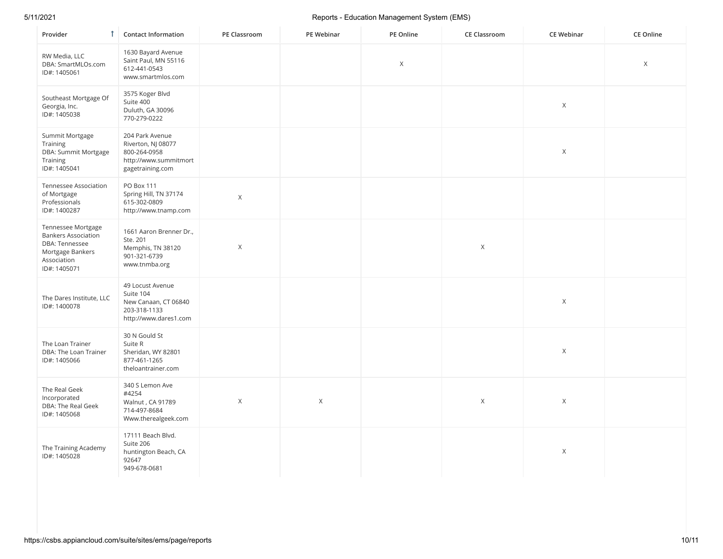| Provider                                                                                                              | <b>1</b> Contact Information                                                                       | PE Classroom | PE Webinar | PE Online   | <b>CE Classroom</b> | <b>CE Webinar</b> | <b>CE Online</b> |
|-----------------------------------------------------------------------------------------------------------------------|----------------------------------------------------------------------------------------------------|--------------|------------|-------------|---------------------|-------------------|------------------|
| RW Media, LLC<br>DBA: SmartMLOs.com<br>ID#: 1405061                                                                   | 1630 Bayard Avenue<br>Saint Paul, MN 55116<br>612-441-0543<br>www.smartmlos.com                    |              |            | $\mathsf X$ |                     |                   | X                |
| Southeast Mortgage Of<br>Georgia, Inc.<br>ID#: 1405038                                                                | 3575 Koger Blvd<br>Suite 400<br>Duluth, GA 30096<br>770-279-0222                                   |              |            |             |                     | $\mathsf X$       |                  |
| Summit Mortgage<br>Training<br>DBA: Summit Mortgage<br>Training<br>ID#: 1405041                                       | 204 Park Avenue<br>Riverton, NJ 08077<br>800-264-0958<br>http://www.summitmort<br>gagetraining.com |              |            |             |                     | $\mathsf X$       |                  |
| Tennessee Association<br>of Mortgage<br>Professionals<br>ID#: 1400287                                                 | PO Box 111<br>Spring Hill, TN 37174<br>615-302-0809<br>http://www.tnamp.com                        | $\mathsf X$  |            |             |                     |                   |                  |
| Tennessee Mortgage<br><b>Bankers Association</b><br>DBA: Tennessee<br>Mortgage Bankers<br>Association<br>ID#: 1405071 | 1661 Aaron Brenner Dr.,<br>Ste. 201<br>Memphis, TN 38120<br>901-321-6739<br>www.tnmba.org          | $\mathsf X$  |            |             | $\mathsf X$         |                   |                  |
| The Dares Institute, LLC<br>ID#: 1400078                                                                              | 49 Locust Avenue<br>Suite 104<br>New Canaan, CT 06840<br>203-318-1133<br>http://www.dares1.com     |              |            |             |                     | $\mathsf X$       |                  |
| The Loan Trainer<br>DBA: The Loan Trainer<br>ID#: 1405066                                                             | 30 N Gould St<br>Suite R<br>Sheridan, WY 82801<br>877-461-1265<br>theloantrainer.com               |              |            |             |                     | Χ                 |                  |
| The Real Geek<br>Incorporated<br>DBA: The Real Geek<br>ID#: 1405068                                                   | 340 S Lemon Ave<br>#4254<br>Walnut, CA 91789<br>714-497-8684<br>Www.therealgeek.com                | X            | X          |             | $\times$            | Χ                 |                  |
| The Training Academy<br>ID#: 1405028                                                                                  | 17111 Beach Blvd.<br>Suite 206<br>huntington Beach, CA<br>92647<br>949-678-0681                    |              |            |             |                     | $\mathsf X$       |                  |